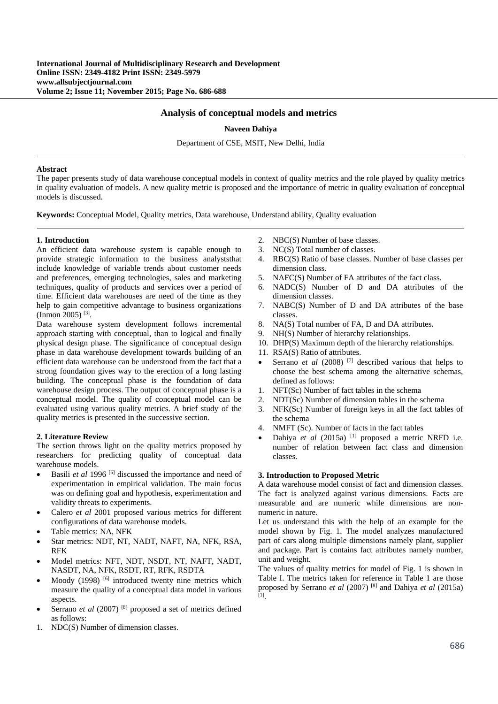# **Analysis of conceptual models and metrics**

## **Naveen Dahiya**

Department of CSE, MSIT, New Delhi, India

### **Abstract**

The paper presents study of data warehouse conceptual models in context of quality metrics and the role played by quality metrics in quality evaluation of models. A new quality metric is proposed and the importance of metric in quality evaluation of conceptual models is discussed.

**Keywords:** Conceptual Model, Quality metrics, Data warehouse, Understand ability, Quality evaluation

#### **1. Introduction**

An efficient data warehouse system is capable enough to provide strategic information to the business analyststhat include knowledge of variable trends about customer needs and preferences, emerging technologies, sales and marketing techniques, quality of products and services over a period of time. Efficient data warehouses are need of the time as they help to gain competitive advantage to business organizations  $(Immon 2005)$ <sup>[3]</sup>.

Data warehouse system development follows incremental approach starting with conceptual, than to logical and finally physical design phase. The significance of conceptual design phase in data warehouse development towards building of an efficient data warehouse can be understood from the fact that a strong foundation gives way to the erection of a long lasting building. The conceptual phase is the foundation of data warehouse design process. The output of conceptual phase is a conceptual model. The quality of conceptual model can be evaluated using various quality metrics. A brief study of the quality metrics is presented in the successive section.

## **2. Literature Review**

The section throws light on the quality metrics proposed by researchers for predicting quality of conceptual data warehouse models.

- Basili *et al* 1996<sup>[5]</sup> discussed the importance and need of experimentation in empirical validation. The main focus was on defining goal and hypothesis, experimentation and validity threats to experiments.
- Calero *et al* 2001 proposed various metrics for different configurations of data warehouse models.
- Table metrics: NA, NFK
- Star metrics: NDT, NT, NADT, NAFT, NA, NFK, RSA, RFK
- Model metrics: NFT, NDT, NSDT, NT, NAFT, NADT, NASDT, NA, NFK, RSDT, RT, RFK, RSDTA
- Moody  $(1998)$  <sup>[6]</sup> introduced twenty nine metrics which measure the quality of a conceptual data model in various aspects.
- Serrano *et al* (2007)<sup>[8]</sup> proposed a set of metrics defined as follows:
- 1. NDC(S) Number of dimension classes.
- 2. NBC(S) Number of base classes.
- 3. NC(S) Total number of classes.
- 4. RBC(S) Ratio of base classes. Number of base classes per dimension class.
- 5. NAFC(S) Number of FA attributes of the fact class.
- 6. NADC(S) Number of D and DA attributes of the dimension classes.
- 7. NABC(S) Number of D and DA attributes of the base classes.
- 8. NA(S) Total number of FA, D and DA attributes.<br>9 NH(S) Number of hierarchy relationships.
- NH(S) Number of hierarchy relationships.
- 10. DHP(S) Maximum depth of the hierarchy relationships.
- 11. RSA(S) Ratio of attributes.
- Serrano *et al* (2008)<sup>[7]</sup> described various that helps to choose the best schema among the alternative schemas, defined as follows:
- 1. NFT(Sc) Number of fact tables in the schema
- 2. NDT(Sc) Number of dimension tables in the schema
- 3. NFK(Sc) Number of foreign keys in all the fact tables of the schema
- 4. NMFT (Sc). Number of facts in the fact tables
- Dahiya et al (2015a) <sup>[1]</sup> proposed a metric NRFD i.e. number of relation between fact class and dimension classes.

### **3. Introduction to Proposed Metric**

A data warehouse model consist of fact and dimension classes. The fact is analyzed against various dimensions. Facts are measurable and are numeric while dimensions are nonnumeric in nature.

Let us understand this with the help of an example for the model shown by Fig. 1. The model analyzes manufactured part of cars along multiple dimensions namely plant, supplier and package. Part is contains fact attributes namely number, unit and weight.

The values of quality metrics for model of Fig. 1 is shown in Table I. The metrics taken for reference in Table 1 are those proposed by Serrano *et al* (2007) [8] and Dahiya *et al* (2015a) [1].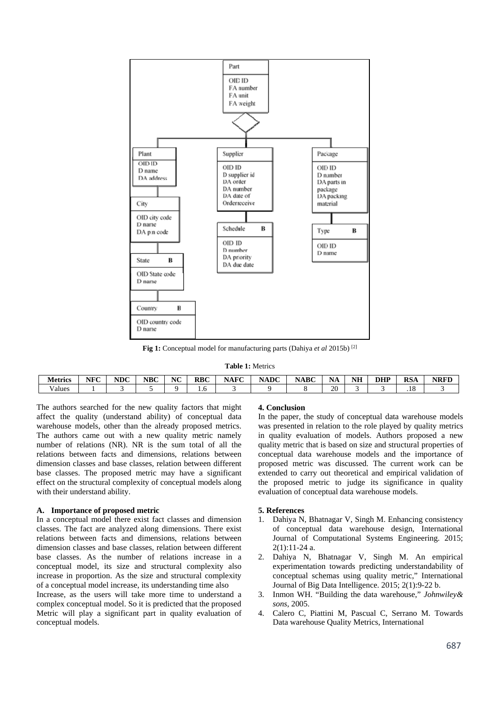

**Fig 1:** Conceptual model for manufacturing parts (Dahiya *et al* 2015b) [2]

**Table 1:** Metrics

| . .<br><b>Metrics</b> | <b>NFC</b> | <b>NDC</b> | <b>NBC</b> | NC | $\mathbf{R}$<br>- | $\Delta F C$<br>w | $\mathbf{v}$<br>$\sim$ $\sim$<br>. ADV | <b>BTA</b><br>NABC | <b>BY</b><br>AL A | NĽ<br>INI | <b>DHP</b> | $RS_{\Delta}$<br>NJA | .<br>'YNFL |
|-----------------------|------------|------------|------------|----|-------------------|-------------------|----------------------------------------|--------------------|-------------------|-----------|------------|----------------------|------------|
| - -<br>Values         |            |            |            |    | .                 |                   |                                        |                    | 20                |           |            | $^{\circ}$<br>.10    |            |

The authors searched for the new quality factors that might affect the quality (understand ability) of conceptual data warehouse models, other than the already proposed metrics. The authors came out with a new quality metric namely number of relations (NR). NR is the sum total of all the relations between facts and dimensions, relations between dimension classes and base classes, relation between different base classes. The proposed metric may have a significant effect on the structural complexity of conceptual models along with their understand ability.

### **A. Importance of proposed metric**

In a conceptual model there exist fact classes and dimension classes. The fact are analyzed along dimensions. There exist relations between facts and dimensions, relations between dimension classes and base classes, relation between different base classes. As the number of relations increase in a conceptual model, its size and structural complexity also increase in proportion. As the size and structural complexity of a conceptual model increase, its understanding time also

Increase, as the users will take more time to understand a complex conceptual model. So it is predicted that the proposed Metric will play a significant part in quality evaluation of conceptual models.

#### **4. Conclusion**

In the paper, the study of conceptual data warehouse models was presented in relation to the role played by quality metrics in quality evaluation of models. Authors proposed a new quality metric that is based on size and structural properties of conceptual data warehouse models and the importance of proposed metric was discussed. The current work can be extended to carry out theoretical and empirical validation of the proposed metric to judge its significance in quality evaluation of conceptual data warehouse models.

### **5. References**

- 1. Dahiya N, Bhatnagar V, Singh M. Enhancing consistency of conceptual data warehouse design, International Journal of Computational Systems Engineering. 2015;  $2(1):11-24$  a.
- 2. Dahiya N, Bhatnagar V, Singh M. An empirical experimentation towards predicting understandability of conceptual schemas using quality metric," International Journal of Big Data Intelligence. 2015; 2(1):9-22 b.
- 3. Inmon WH. "Building the data warehouse," *Johnwiley& sons*, 2005.
- 4. Calero C, Piattini M, Pascual C, Serrano M. Towards Data warehouse Quality Metrics, International